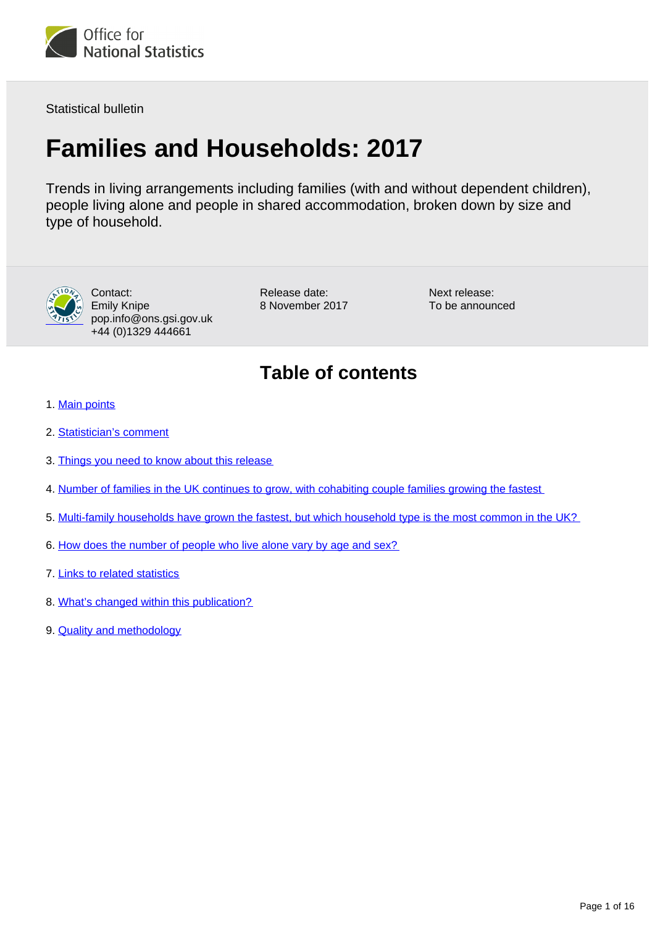

Statistical bulletin

# **Families and Households: 2017**

Trends in living arrangements including families (with and without dependent children), people living alone and people in shared accommodation, broken down by size and type of household.



Contact: Emily Knipe pop.info@ons.gsi.gov.uk +44 (0)1329 444661

Release date: 8 November 2017 Next release: To be announced

### **Table of contents**

- 1. [Main points](#page-1-0)
- 2. [Statistician's comment](#page-1-1)
- 3. [Things you need to know about this release](#page-1-2)
- 4. [Number of families in the UK continues to grow, with cohabiting couple families growing the fastest](#page-2-0)
- 5. [Multi-family households have grown the fastest, but which household type is the most common in the UK?](#page-7-0)
- 6. [How does the number of people who live alone vary by age and sex?](#page-8-0)
- 7. [Links to related statistics](#page-14-0)
- 8. [What's changed within this publication?](#page-14-1)
- 9. [Quality and methodology](#page-15-0)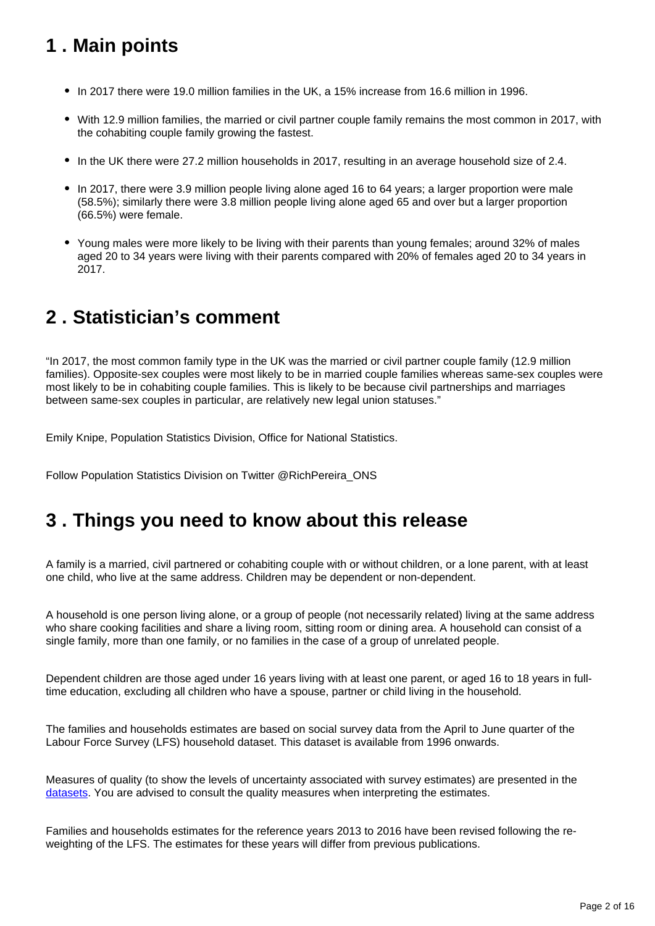### <span id="page-1-0"></span>**1 . Main points**

- In 2017 there were 19.0 million families in the UK, a 15% increase from 16.6 million in 1996.
- With 12.9 million families, the married or civil partner couple family remains the most common in 2017, with the cohabiting couple family growing the fastest.
- In the UK there were 27.2 million households in 2017, resulting in an average household size of 2.4.
- In 2017, there were 3.9 million people living alone aged 16 to 64 years; a larger proportion were male (58.5%); similarly there were 3.8 million people living alone aged 65 and over but a larger proportion (66.5%) were female.
- Young males were more likely to be living with their parents than young females; around 32% of males aged 20 to 34 years were living with their parents compared with 20% of females aged 20 to 34 years in 2017.

### <span id="page-1-1"></span>**2 . Statistician's comment**

"In 2017, the most common family type in the UK was the married or civil partner couple family (12.9 million families). Opposite-sex couples were most likely to be in married couple families whereas same-sex couples were most likely to be in cohabiting couple families. This is likely to be because civil partnerships and marriages between same-sex couples in particular, are relatively new legal union statuses."

Emily Knipe, Population Statistics Division, Office for National Statistics.

Follow Population Statistics Division on Twitter @RichPereira\_ONS

#### <span id="page-1-2"></span>**3 . Things you need to know about this release**

A family is a married, civil partnered or cohabiting couple with or without children, or a lone parent, with at least one child, who live at the same address. Children may be dependent or non-dependent.

A household is one person living alone, or a group of people (not necessarily related) living at the same address who share cooking facilities and share a living room, sitting room or dining area. A household can consist of a single family, more than one family, or no families in the case of a group of unrelated people.

Dependent children are those aged under 16 years living with at least one parent, or aged 16 to 18 years in fulltime education, excluding all children who have a spouse, partner or child living in the household.

The families and households estimates are based on social survey data from the April to June quarter of the Labour Force Survey (LFS) household dataset. This dataset is available from 1996 onwards.

Measures of quality (to show the levels of uncertainty associated with survey estimates) are presented in the [datasets.](https://www.ons.gov.uk/peoplepopulationandcommunity/birthsdeathsandmarriages/families/datasets/familiesandhouseholdsfamiliesandhouseholds) You are advised to consult the quality measures when interpreting the estimates.

Families and households estimates for the reference years 2013 to 2016 have been revised following the reweighting of the LFS. The estimates for these years will differ from previous publications.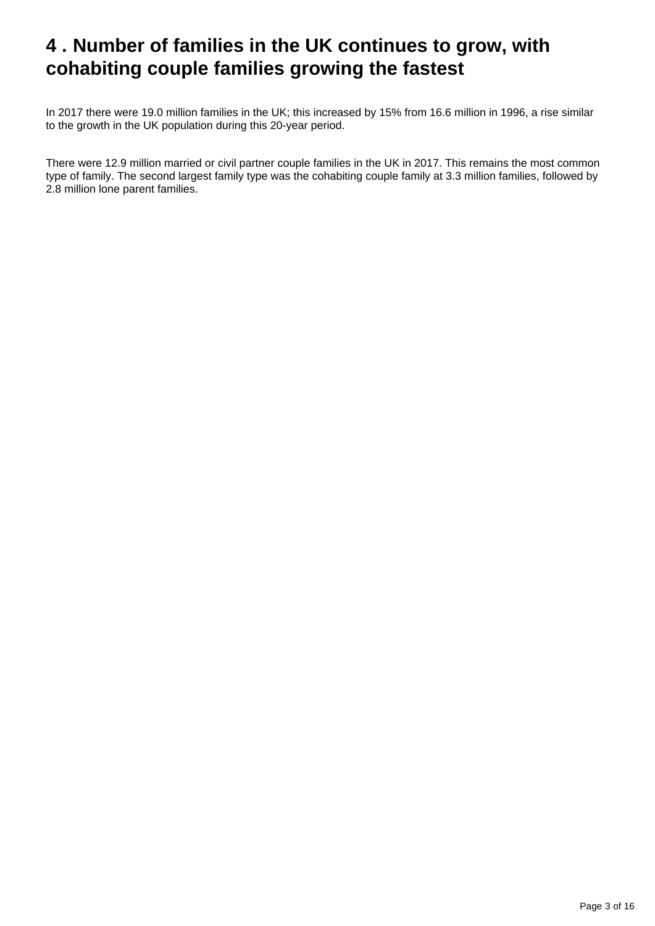### <span id="page-2-0"></span>**4 . Number of families in the UK continues to grow, with cohabiting couple families growing the fastest**

In 2017 there were 19.0 million families in the UK; this increased by 15% from 16.6 million in 1996, a rise similar to the growth in the UK population during this 20-year period.

There were 12.9 million married or civil partner couple families in the UK in 2017. This remains the most common type of family. The second largest family type was the cohabiting couple family at 3.3 million families, followed by 2.8 million lone parent families.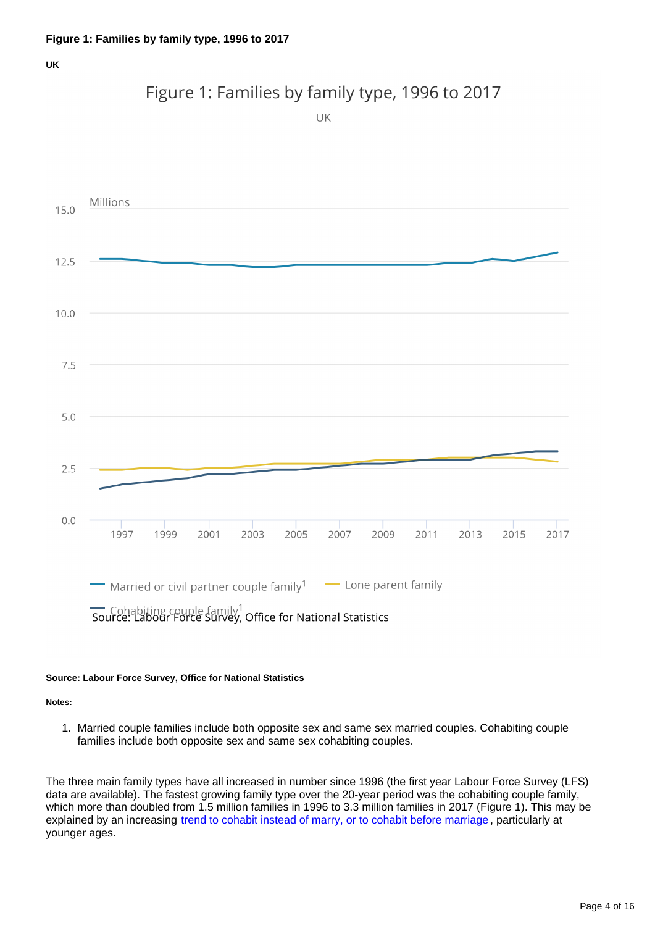#### Figure 1: Families by family type, 1996 to 2017

UK



#### **Source: Labour Force Survey, Office for National Statistics**

**Notes:**

1. Married couple families include both opposite sex and same sex married couples. Cohabiting couple families include both opposite sex and same sex cohabiting couples.

The three main family types have all increased in number since 1996 (the first year Labour Force Survey (LFS) data are available). The fastest growing family type over the 20-year period was the cohabiting couple family, which more than doubled from 1.5 million families in 1996 to 3.3 million families in 2017 (Figure 1). This may be explained by an increasing [trend to cohabit instead of marry, or to cohabit before marriage](https://www.ons.gov.uk/peoplepopulationandcommunity/populationandmigration/populationestimates/bulletins/populationestimatesbymaritalstatusandlivingarrangements/2002to2016), particularly at younger ages.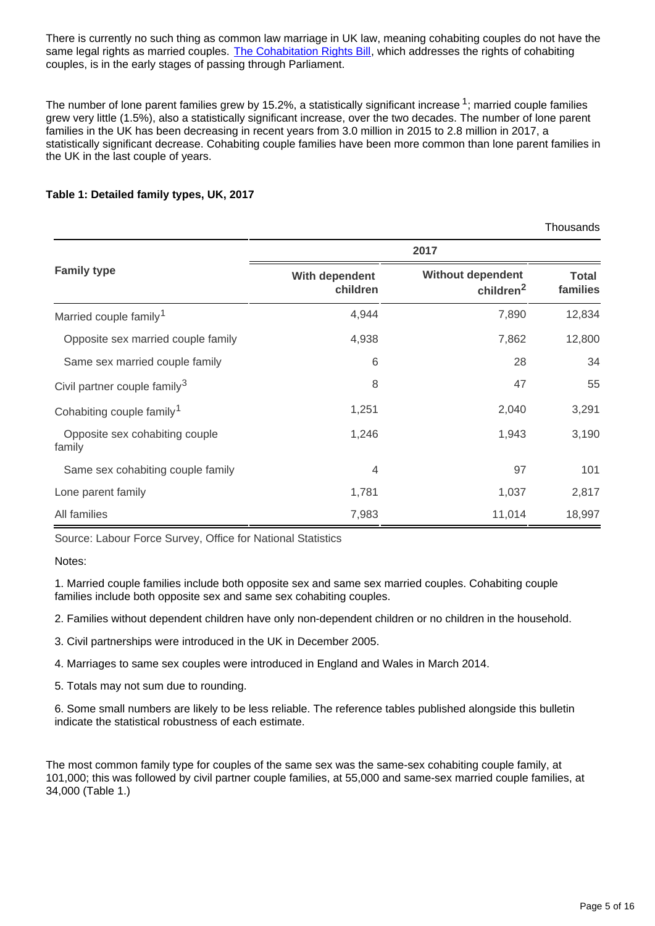There is currently no such thing as common law marriage in UK law, meaning cohabiting couples do not have the same legal rights as married couples. [The Cohabitation Rights Bill](https://services.parliament.uk/bills/2017-19/cohabitationrights.html), which addresses the rights of cohabiting couples, is in the early stages of passing through Parliament.

The number of lone parent families grew by 15.2%, a statistically significant increase  $1$ ; married couple families grew very little (1.5%), also a statistically significant increase, over the two decades. The number of lone parent families in the UK has been decreasing in recent years from 3.0 million in 2015 to 2.8 million in 2017, a statistically significant decrease. Cohabiting couple families have been more common than lone parent families in the UK in the last couple of years.

#### **Table 1: Detailed family types, UK, 2017**

|                                          |                            |                                                   | Thousands                |  |  |
|------------------------------------------|----------------------------|---------------------------------------------------|--------------------------|--|--|
|                                          | 2017                       |                                                   |                          |  |  |
| <b>Family type</b>                       | With dependent<br>children | <b>Without dependent</b><br>children <sup>2</sup> | <b>Total</b><br>families |  |  |
| Married couple family <sup>1</sup>       | 4,944                      | 7,890                                             | 12,834                   |  |  |
| Opposite sex married couple family       | 4,938                      | 7,862                                             | 12,800                   |  |  |
| Same sex married couple family           | 6                          | 28                                                | 34                       |  |  |
| Civil partner couple family <sup>3</sup> | 8                          | 47                                                | 55                       |  |  |
| Cohabiting couple family <sup>1</sup>    | 1,251                      | 2,040                                             | 3,291                    |  |  |
| Opposite sex cohabiting couple<br>family | 1,246                      | 1,943                                             | 3,190                    |  |  |
| Same sex cohabiting couple family        | 4                          | 97                                                | 101                      |  |  |
| Lone parent family                       | 1,781                      | 1,037                                             | 2,817                    |  |  |
| All families                             | 7,983                      | 11,014                                            | 18,997                   |  |  |

Source: Labour Force Survey, Office for National Statistics

Notes:

1. Married couple families include both opposite sex and same sex married couples. Cohabiting couple families include both opposite sex and same sex cohabiting couples.

2. Families without dependent children have only non-dependent children or no children in the household.

3. Civil partnerships were introduced in the UK in December 2005.

4. Marriages to same sex couples were introduced in England and Wales in March 2014.

5. Totals may not sum due to rounding.

6. Some small numbers are likely to be less reliable. The reference tables published alongside this bulletin indicate the statistical robustness of each estimate.

The most common family type for couples of the same sex was the same-sex cohabiting couple family, at 101,000; this was followed by civil partner couple families, at 55,000 and same-sex married couple families, at 34,000 (Table 1.)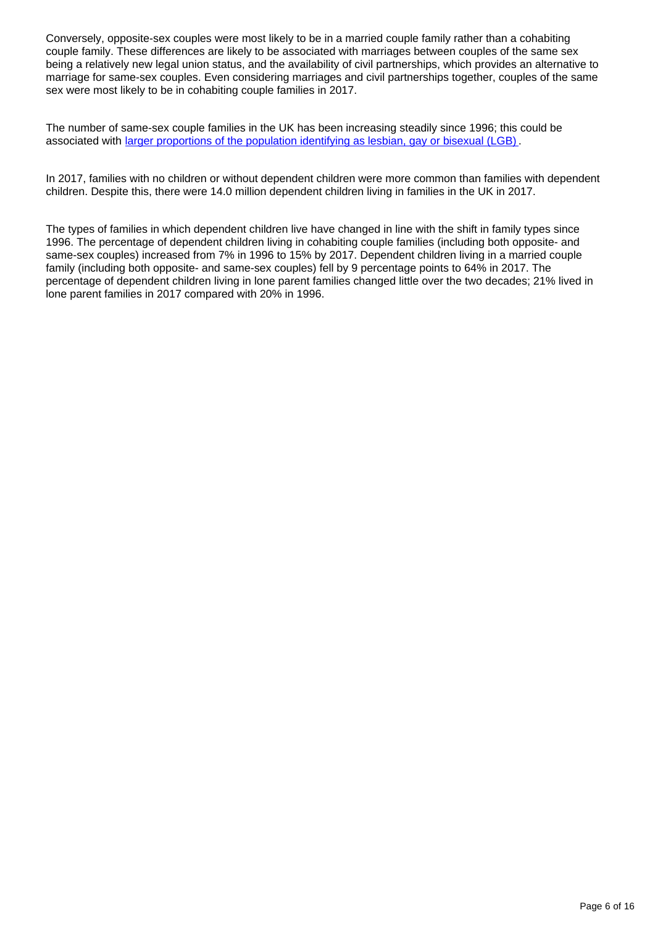Conversely, opposite-sex couples were most likely to be in a married couple family rather than a cohabiting couple family. These differences are likely to be associated with marriages between couples of the same sex being a relatively new legal union status, and the availability of civil partnerships, which provides an alternative to marriage for same-sex couples. Even considering marriages and civil partnerships together, couples of the same sex were most likely to be in cohabiting couple families in 2017.

The number of same-sex couple families in the UK has been increasing steadily since 1996; this could be associated with [larger proportions of the population identifying as lesbian, gay or bisexual \(LGB\)](https://www.ons.gov.uk/peoplepopulationandcommunity/culturalidentity/sexuality/bulletins/sexualidentityuk/2016) .

In 2017, families with no children or without dependent children were more common than families with dependent children. Despite this, there were 14.0 million dependent children living in families in the UK in 2017.

The types of families in which dependent children live have changed in line with the shift in family types since 1996. The percentage of dependent children living in cohabiting couple families (including both opposite- and same-sex couples) increased from 7% in 1996 to 15% by 2017. Dependent children living in a married couple family (including both opposite- and same-sex couples) fell by 9 percentage points to 64% in 2017. The percentage of dependent children living in lone parent families changed little over the two decades; 21% lived in lone parent families in 2017 compared with 20% in 1996.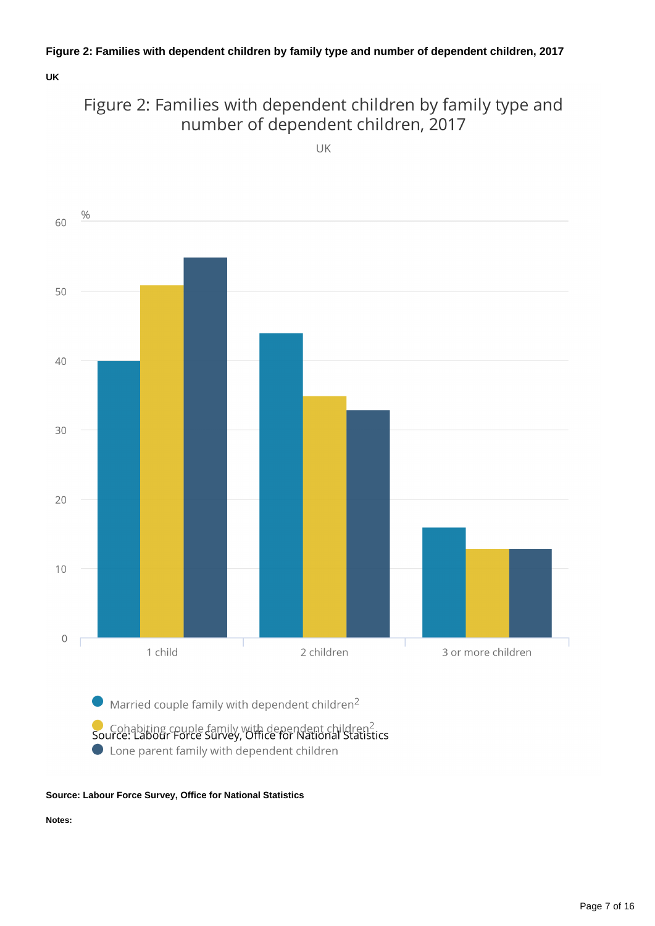#### **Figure 2: Families with dependent children by family type and number of dependent children, 2017**

**UK**



UK



#### **Source: Labour Force Survey, Office for National Statistics**

**Notes:**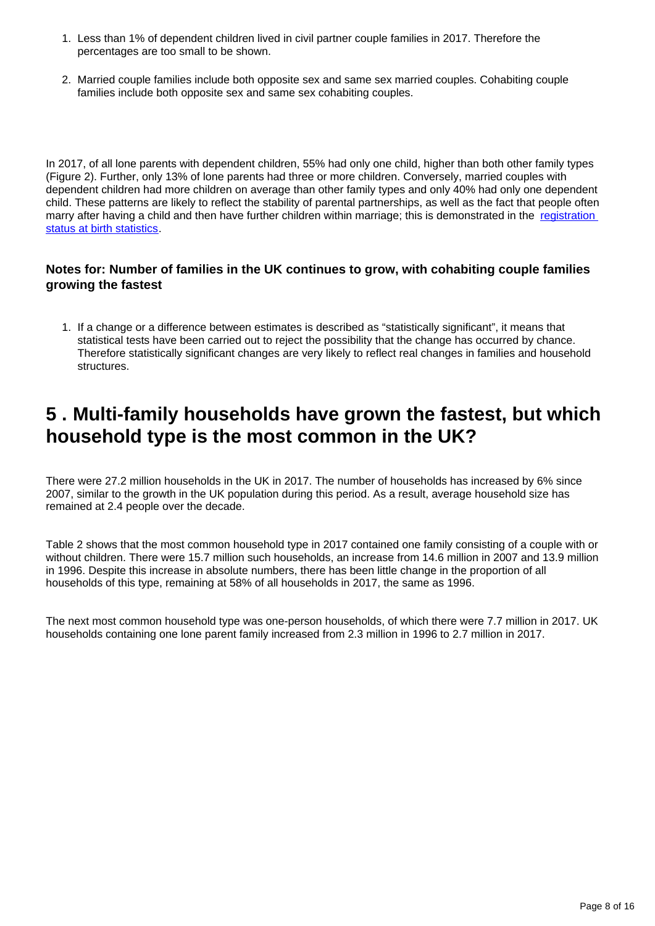- 1. Less than 1% of dependent children lived in civil partner couple families in 2017. Therefore the percentages are too small to be shown.
- 2. Married couple families include both opposite sex and same sex married couples. Cohabiting couple families include both opposite sex and same sex cohabiting couples.

In 2017, of all lone parents with dependent children, 55% had only one child, higher than both other family types (Figure 2). Further, only 13% of lone parents had three or more children. Conversely, married couples with dependent children had more children on average than other family types and only 40% had only one dependent child. These patterns are likely to reflect the stability of parental partnerships, as well as the fact that people often marry after having a child and then have further children within marriage; this is demonstrated in the [registration](http://webarchive.nationalarchives.gov.uk/20160105221108/http:/www.ons.gov.uk/ons/rel/vsob1/characteristics-of-Mother-1--england-and-wales/2013/art---childbearing-by-registration-status.html#tab-Comparing-Registration-Status-for-First-Births-with-Subseque)  [status at birth statistics](http://webarchive.nationalarchives.gov.uk/20160105221108/http:/www.ons.gov.uk/ons/rel/vsob1/characteristics-of-Mother-1--england-and-wales/2013/art---childbearing-by-registration-status.html#tab-Comparing-Registration-Status-for-First-Births-with-Subseque).

#### **Notes for: Number of families in the UK continues to grow, with cohabiting couple families growing the fastest**

1. If a change or a difference between estimates is described as "statistically significant", it means that statistical tests have been carried out to reject the possibility that the change has occurred by chance. Therefore statistically significant changes are very likely to reflect real changes in families and household structures.

### <span id="page-7-0"></span>**5 . Multi-family households have grown the fastest, but which household type is the most common in the UK?**

There were 27.2 million households in the UK in 2017. The number of households has increased by 6% since 2007, similar to the growth in the UK population during this period. As a result, average household size has remained at 2.4 people over the decade.

Table 2 shows that the most common household type in 2017 contained one family consisting of a couple with or without children. There were 15.7 million such households, an increase from 14.6 million in 2007 and 13.9 million in 1996. Despite this increase in absolute numbers, there has been little change in the proportion of all households of this type, remaining at 58% of all households in 2017, the same as 1996.

The next most common household type was one-person households, of which there were 7.7 million in 2017. UK households containing one lone parent family increased from 2.3 million in 1996 to 2.7 million in 2017.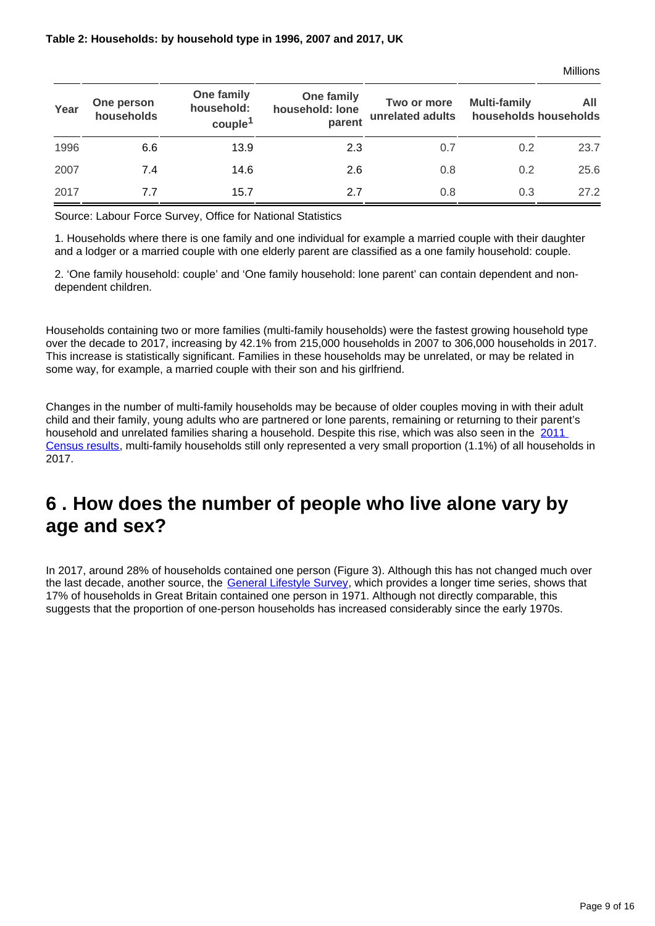| Year | One person<br>households | One family<br>household:<br>couple <sup>1</sup> | One family<br>household: lone<br>parent | Two or more<br>unrelated adults | <b>Multi-family</b><br>households households | AII  |
|------|--------------------------|-------------------------------------------------|-----------------------------------------|---------------------------------|----------------------------------------------|------|
| 1996 | 6.6                      | 13.9                                            | 2.3                                     | 0.7                             | 0.2                                          | 23.7 |
| 2007 | 7.4                      | 14.6                                            | 2.6                                     | 0.8                             | 0.2                                          | 25.6 |
| 2017 | 7.7                      | 15.7                                            | 2.7                                     | 0.8                             | 0.3                                          | 27.2 |

Source: Labour Force Survey, Office for National Statistics

1. Households where there is one family and one individual for example a married couple with their daughter and a lodger or a married couple with one elderly parent are classified as a one family household: couple.

2. 'One family household: couple' and 'One family household: lone parent' can contain dependent and nondependent children.

Households containing two or more families (multi-family households) were the fastest growing household type over the decade to 2017, increasing by 42.1% from 215,000 households in 2007 to 306,000 households in 2017. This increase is statistically significant. Families in these households may be unrelated, or may be related in some way, for example, a married couple with their son and his girlfriend.

Changes in the number of multi-family households may be because of older couples moving in with their adult child and their family, young adults who are partnered or lone parents, remaining or returning to their parent's household and unrelated families sharing a household. Despite this rise, which was also seen in the 2011 [Census results,](http://www.ons.gov.uk/ons/rel/census/2011-census-analysis/what-does-the-2011-census-tell-us-about-concealed-families-living-in-multi-family-households-in-england-and-wales-/index.html) multi-family households still only represented a very small proportion (1.1%) of all households in 2017.

### <span id="page-8-0"></span>**6 . How does the number of people who live alone vary by age and sex?**

In 2017, around 28% of households contained one person (Figure 3). Although this has not changed much over the last decade, another source, the [General Lifestyle Survey,](https://www.ons.gov.uk/peoplepopulationandcommunity/personalandhouseholdfinances/incomeandwealth/compendium/generallifestylesurvey/2013-03-07) which provides a longer time series, shows that 17% of households in Great Britain contained one person in 1971. Although not directly comparable, this suggests that the proportion of one-person households has increased considerably since the early 1970s.

Millions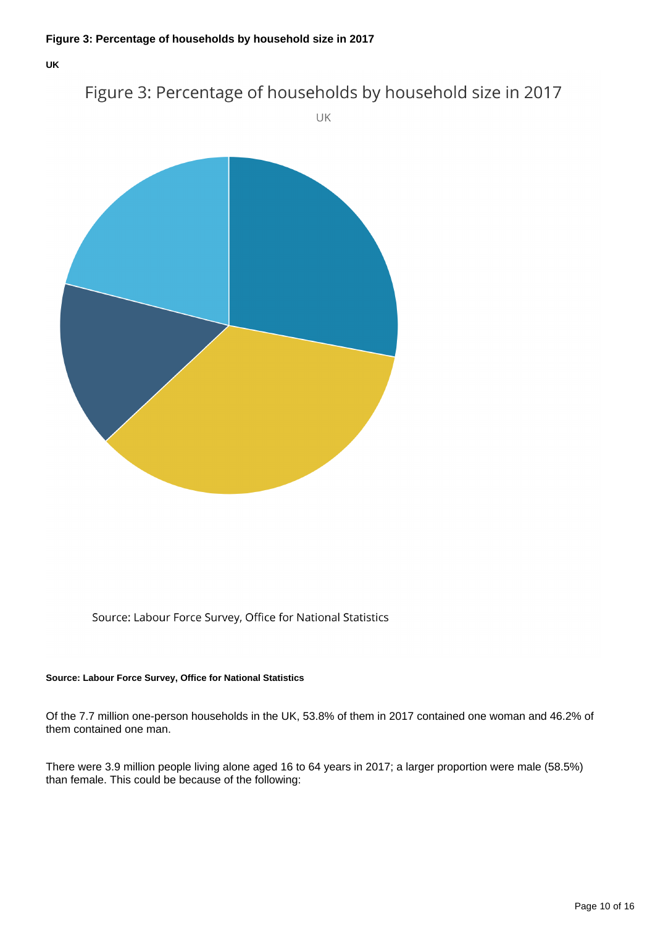#### Figure 3: Percentage of households by household size in 2017

UK



Source: Labour Force Survey, Office for National Statistics

#### **Source: Labour Force Survey, Office for National Statistics**

Of the 7.7 million one-person households in the UK, 53.8% of them in 2017 contained one woman and 46.2% of them contained one man.

There were 3.9 million people living alone aged 16 to 64 years in 2017; a larger proportion were male (58.5%) than female. This could be because of the following: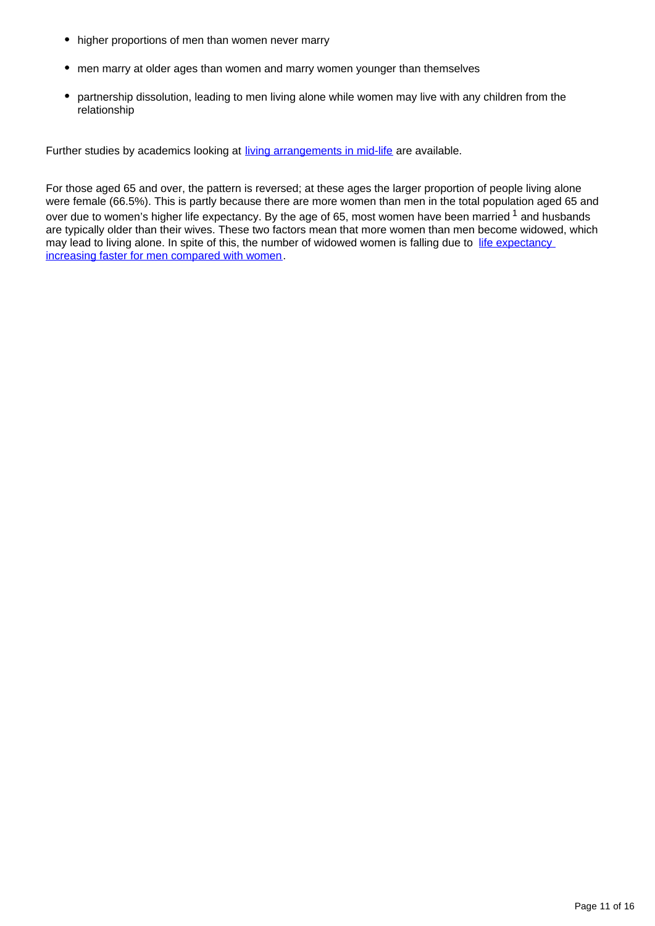- higher proportions of men than women never marry
- men marry at older ages than women and marry women younger than themselves
- partnership dissolution, leading to men living alone while women may live with any children from the relationship

Further studies by academics looking at [living arrangements in mid-life](http://www.cpc.ac.uk/projects/?project=46) are available.

For those aged 65 and over, the pattern is reversed; at these ages the larger proportion of people living alone were female (66.5%). This is partly because there are more women than men in the total population aged 65 and over due to women's higher life expectancy. By the age of 65, most women have been married  $1$  and husbands are typically older than their wives. These two factors mean that more women than men become widowed, which may lead to living alone. In spite of this, the number of widowed women is falling due to life expectancy [increasing faster for men compared with women](https://www.ons.gov.uk/peoplepopulationandcommunity/birthsdeathsandmarriages/lifeexpectancies/bulletins/nationallifetablesunitedkingdom/2014to2016).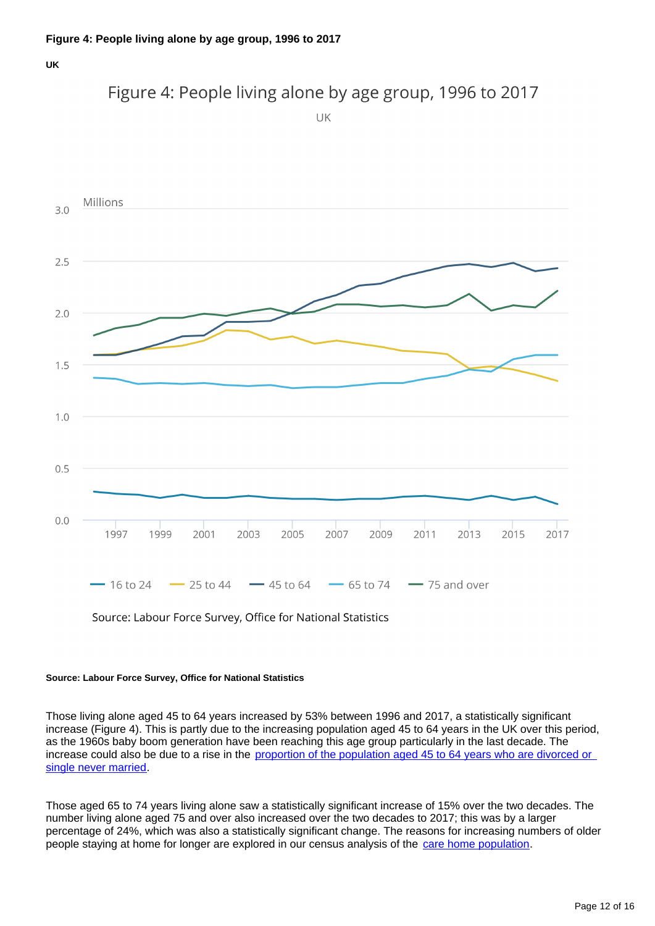### Figure 4: People living alone by age group, 1996 to 2017

UK



#### **Source: Labour Force Survey, Office for National Statistics**

Those living alone aged 45 to 64 years increased by 53% between 1996 and 2017, a statistically significant increase (Figure 4). This is partly due to the increasing population aged 45 to 64 years in the UK over this period, as the 1960s baby boom generation have been reaching this age group particularly in the last decade. The increase could also be due to a rise in the proportion of the population aged 45 to 64 years who are divorced or [single never married](http://www.ons.gov.uk/peoplepopulationandcommunity/populationandmigration/populationestimates/bulletins/populationestimatesbymaritalstatusandlivingarrangements/2002to2015).

Those aged 65 to 74 years living alone saw a statistically significant increase of 15% over the two decades. The number living alone aged 75 and over also increased over the two decades to 2017; this was by a larger percentage of 24%, which was also a statistically significant change. The reasons for increasing numbers of older people staying at home for longer are explored in our census analysis of the [care home population.](http://webarchive.nationalarchives.gov.uk/20160107071737/http:/www.ons.gov.uk/ons/dcp171776_373040.pdf)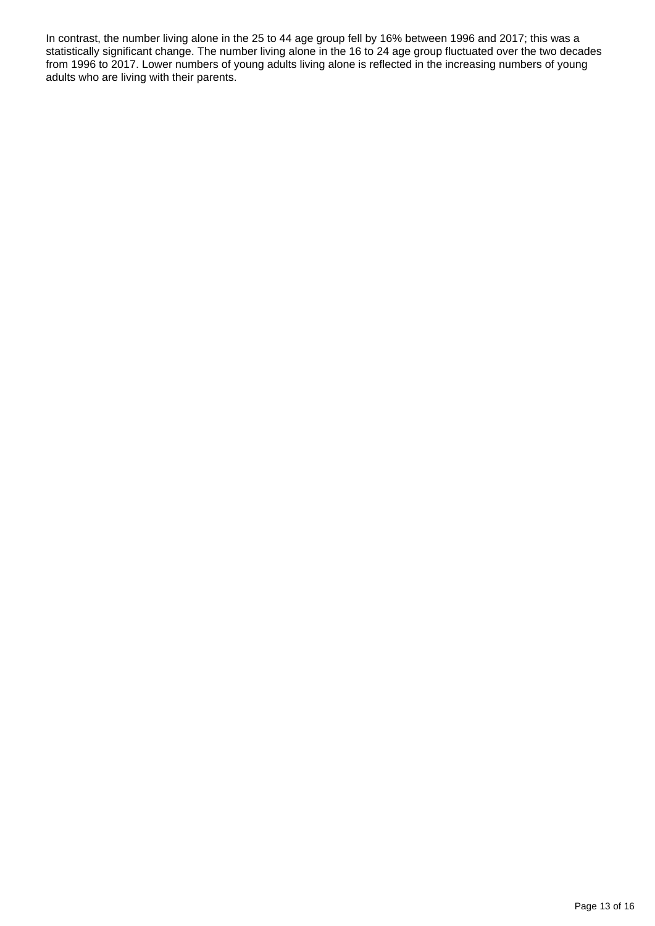In contrast, the number living alone in the 25 to 44 age group fell by 16% between 1996 and 2017; this was a statistically significant change. The number living alone in the 16 to 24 age group fluctuated over the two decades from 1996 to 2017. Lower numbers of young adults living alone is reflected in the increasing numbers of young adults who are living with their parents.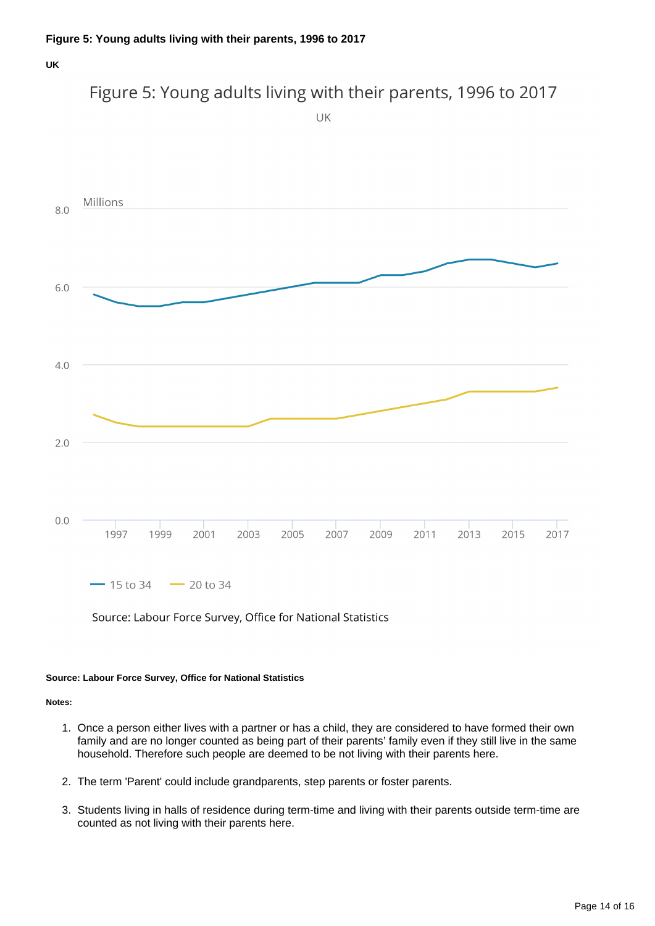#### Figure 5: Young adults living with their parents, 1996 to 2017



Source: Labour Force Survey, Office for National Statistics

#### **Source: Labour Force Survey, Office for National Statistics**

**Notes:**

- 1. Once a person either lives with a partner or has a child, they are considered to have formed their own family and are no longer counted as being part of their parents' family even if they still live in the same household. Therefore such people are deemed to be not living with their parents here.
- 2. The term 'Parent' could include grandparents, step parents or foster parents.
- 3. Students living in halls of residence during term-time and living with their parents outside term-time are counted as not living with their parents here.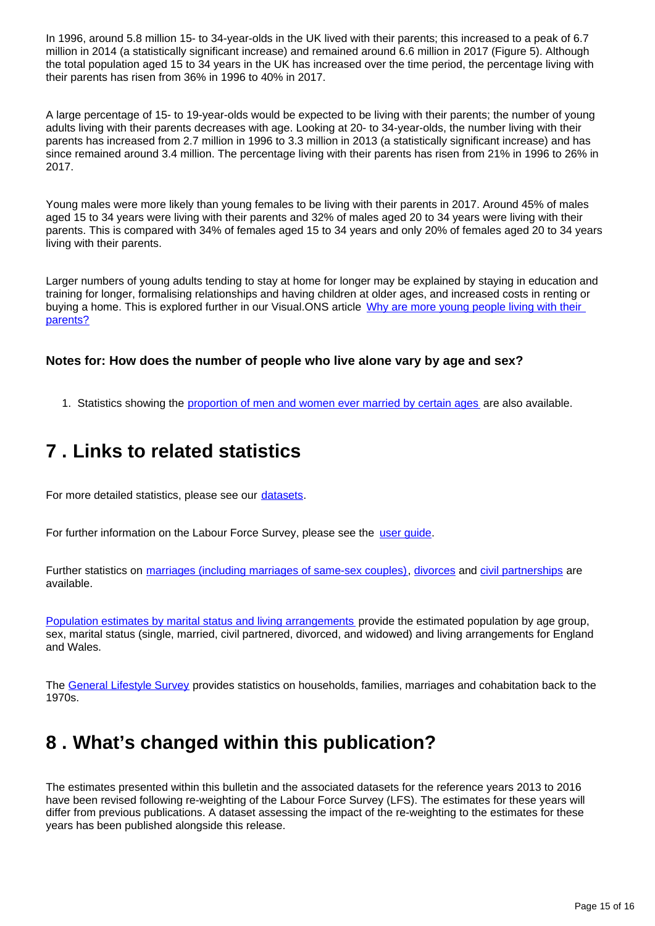In 1996, around 5.8 million 15- to 34-year-olds in the UK lived with their parents; this increased to a peak of 6.7 million in 2014 (a statistically significant increase) and remained around 6.6 million in 2017 (Figure 5). Although the total population aged 15 to 34 years in the UK has increased over the time period, the percentage living with their parents has risen from 36% in 1996 to 40% in 2017.

A large percentage of 15- to 19-year-olds would be expected to be living with their parents; the number of young adults living with their parents decreases with age. Looking at 20- to 34-year-olds, the number living with their parents has increased from 2.7 million in 1996 to 3.3 million in 2013 (a statistically significant increase) and has since remained around 3.4 million. The percentage living with their parents has risen from 21% in 1996 to 26% in 2017.

Young males were more likely than young females to be living with their parents in 2017. Around 45% of males aged 15 to 34 years were living with their parents and 32% of males aged 20 to 34 years were living with their parents. This is compared with 34% of females aged 15 to 34 years and only 20% of females aged 20 to 34 years living with their parents.

Larger numbers of young adults tending to stay at home for longer may be explained by staying in education and training for longer, formalising relationships and having children at older ages, and increased costs in renting or buying a home. This is explored further in our Visual.ONS article Why are more young people living with their [parents?](https://visual.ons.gov.uk/living-with-parents/)

#### **Notes for: How does the number of people who live alone vary by age and sex?**

1. Statistics showing the [proportion of men and women ever married by certain ages](http://www.ons.gov.uk/ons/rel/vsob1/marriages-in-england-and-wales--provisional-/index.html) are also available.

### <span id="page-14-0"></span>**7 . Links to related statistics**

For more detailed statistics, please see our [datasets.](https://www.ons.gov.uk/peoplepopulationandcommunity/birthsdeathsandmarriages/families/datasets/familiesandhouseholdsfamiliesandhouseholds)

For further information on the Labour Force Survey, please see the user quide.

Further statistics on [marriages \(including marriages of same-sex couples\),](http://www.ons.gov.uk/ons/taxonomy/index.html?nscl=Marriages) [divorces](http://www.ons.gov.uk/ons/taxonomy/index.html?nscl=Divorces) and [civil partnerships](http://www.ons.gov.uk/ons/taxonomy/index.html?nscl=Civil%20Partnerships) are available.

[Population estimates by marital status and living arrangements](http://www.ons.gov.uk/ons/rel/family-demography/population-estimates-by-marital-status-and-living-arrangements/index.html) provide the estimated population by age group, sex, marital status (single, married, civil partnered, divorced, and widowed) and living arrangements for England and Wales.

The [General Lifestyle Survey](http://www.ons.gov.uk/ons/publications/all-releases.html?definition=tcm%3A77-29429) provides statistics on households, families, marriages and cohabitation back to the 1970s.

### <span id="page-14-1"></span>**8 . What's changed within this publication?**

The estimates presented within this bulletin and the associated datasets for the reference years 2013 to 2016 have been revised following re-weighting of the Labour Force Survey (LFS). The estimates for these years will differ from previous publications. A dataset assessing the impact of the re-weighting to the estimates for these years has been published alongside this release.